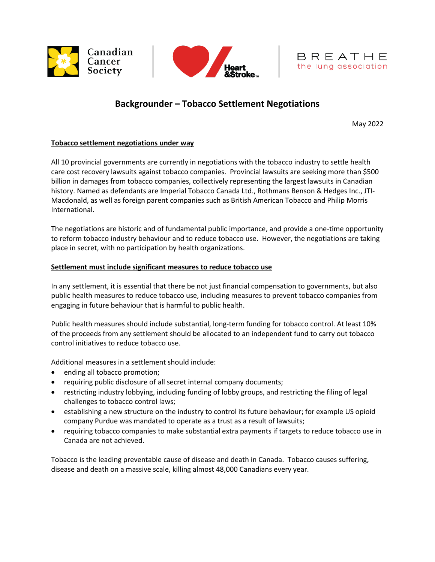





# **Backgrounder – Tobacco Settlement Negotiations**

May 2022

# **Tobacco settlement negotiations under way**

All 10 provincial governments are currently in negotiations with the tobacco industry to settle health care cost recovery lawsuits against tobacco companies. Provincial lawsuits are seeking more than \$500 billion in damages from tobacco companies, collectively representing the largest lawsuits in Canadian history. Named as defendants are Imperial Tobacco Canada Ltd., Rothmans Benson & Hedges Inc., JTI-Macdonald, as well as foreign parent companies such as British American Tobacco and Philip Morris International.

The negotiations are historic and of fundamental public importance, and provide a one-time opportunity to reform tobacco industry behaviour and to reduce tobacco use. However, the negotiations are taking place in secret, with no participation by health organizations.

## **Settlement must include significant measures to reduce tobacco use**

In any settlement, it is essential that there be not just financial compensation to governments, but also public health measures to reduce tobacco use, including measures to prevent tobacco companies from engaging in future behaviour that is harmful to public health.

Public health measures should include substantial, long-term funding for tobacco control. At least 10% of the proceeds from any settlement should be allocated to an independent fund to carry out tobacco control initiatives to reduce tobacco use.

Additional measures in a settlement should include:

- ending all tobacco promotion;
- requiring public disclosure of all secret internal company documents;
- restricting industry lobbying, including funding of lobby groups, and restricting the filing of legal challenges to tobacco control laws;
- establishing a new structure on the industry to control its future behaviour; for example US opioid company Purdue was mandated to operate as a trust as a result of lawsuits;
- requiring tobacco companies to make substantial extra payments if targets to reduce tobacco use in Canada are not achieved.

Tobacco is the leading preventable cause of disease and death in Canada. Tobacco causes suffering, disease and death on a massive scale, killing almost 48,000 Canadians every year.